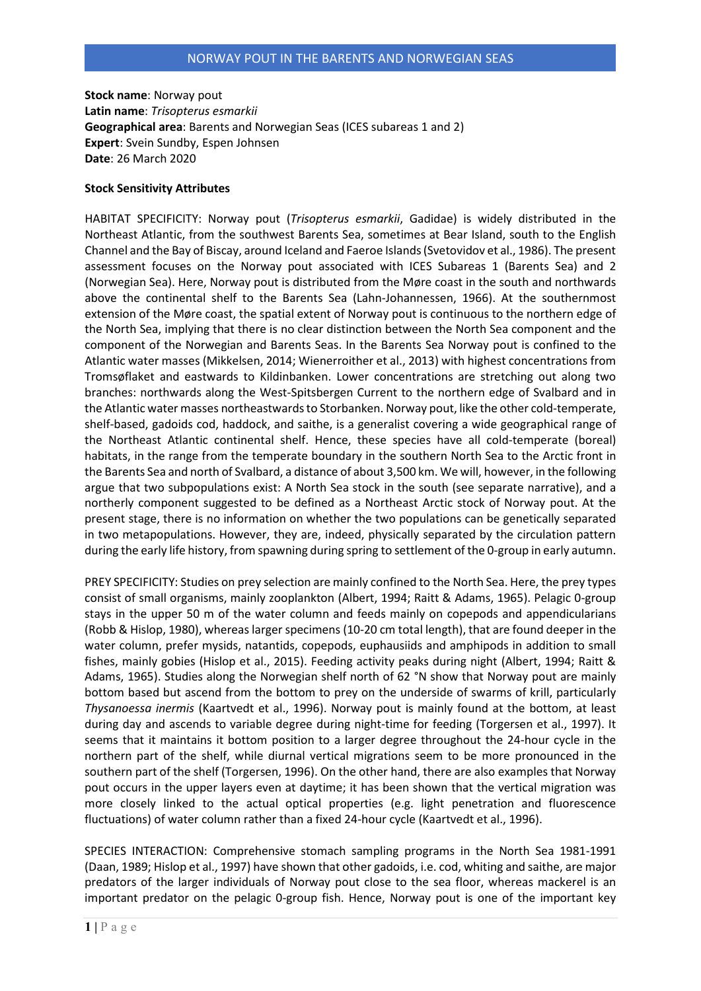**Stock name**: Norway pout **Latin name**: *Trisopterus esmarkii* **Geographical area**: Barents and Norwegian Seas (ICES subareas 1 and 2) **Expert**: Svein Sundby, Espen Johnsen **Date**: 26 March 2020

## **Stock Sensitivity Attributes**

HABITAT SPECIFICITY: Norway pout (*Trisopterus esmarkii*, Gadidae) is widely distributed in the Northeast Atlantic, from the southwest Barents Sea, sometimes at Bear Island, south to the English Channel and the Bay of Biscay, around Iceland and Faeroe Islands (Svetovidov et al., 1986). The present assessment focuses on the Norway pout associated with ICES Subareas 1 (Barents Sea) and 2 (Norwegian Sea). Here, Norway pout is distributed from the Møre coast in the south and northwards above the continental shelf to the Barents Sea (Lahn-Johannessen, 1966). At the southernmost extension of the Møre coast, the spatial extent of Norway pout is continuous to the northern edge of the North Sea, implying that there is no clear distinction between the North Sea component and the component of the Norwegian and Barents Seas. In the Barents Sea Norway pout is confined to the Atlantic water masses (Mikkelsen, 2014; Wienerroither et al., 2013) with highest concentrations from Tromsøflaket and eastwards to Kildinbanken. Lower concentrations are stretching out along two branches: northwards along the West-Spitsbergen Current to the northern edge of Svalbard and in the Atlantic water masses northeastwards to Storbanken. Norway pout, like the other cold-temperate, shelf-based, gadoids cod, haddock, and saithe, is a generalist covering a wide geographical range of the Northeast Atlantic continental shelf. Hence, these species have all cold-temperate (boreal) habitats, in the range from the temperate boundary in the southern North Sea to the Arctic front in the Barents Sea and north of Svalbard, a distance of about 3,500 km. We will, however, in the following argue that two subpopulations exist: A North Sea stock in the south (see separate narrative), and a northerly component suggested to be defined as a Northeast Arctic stock of Norway pout. At the present stage, there is no information on whether the two populations can be genetically separated in two metapopulations. However, they are, indeed, physically separated by the circulation pattern during the early life history, from spawning during spring to settlement of the 0-group in early autumn.

PREY SPECIFICITY: Studies on prey selection are mainly confined to the North Sea. Here, the prey types consist of small organisms, mainly zooplankton (Albert, 1994; Raitt & Adams, 1965). Pelagic 0-group stays in the upper 50 m of the water column and feeds mainly on copepods and appendicularians (Robb & Hislop, 1980), whereas larger specimens (10-20 cm total length), that are found deeper in the water column, prefer mysids, natantids, copepods, euphausiids and amphipods in addition to small fishes, mainly gobies (Hislop et al., 2015). Feeding activity peaks during night (Albert, 1994; Raitt & Adams, 1965). Studies along the Norwegian shelf north of 62 °N show that Norway pout are mainly bottom based but ascend from the bottom to prey on the underside of swarms of krill, particularly *Thysanoessa inermis* (Kaartvedt et al., 1996). Norway pout is mainly found at the bottom, at least during day and ascends to variable degree during night-time for feeding (Torgersen et al., 1997). It seems that it maintains it bottom position to a larger degree throughout the 24-hour cycle in the northern part of the shelf, while diurnal vertical migrations seem to be more pronounced in the southern part of the shelf (Torgersen, 1996). On the other hand, there are also examples that Norway pout occurs in the upper layers even at daytime; it has been shown that the vertical migration was more closely linked to the actual optical properties (e.g. light penetration and fluorescence fluctuations) of water column rather than a fixed 24-hour cycle (Kaartvedt et al., 1996).

SPECIES INTERACTION: Comprehensive stomach sampling programs in the North Sea 1981-1991 (Daan, 1989; Hislop et al., 1997) have shown that other gadoids, i.e. cod, whiting and saithe, are major predators of the larger individuals of Norway pout close to the sea floor, whereas mackerel is an important predator on the pelagic 0-group fish. Hence, Norway pout is one of the important key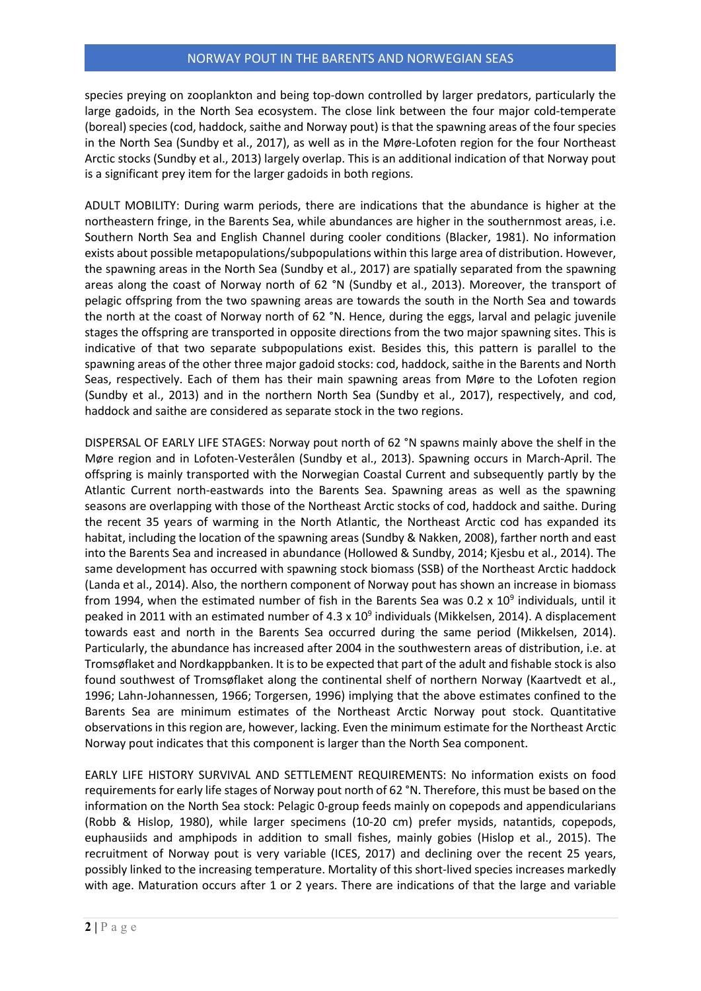# NORWAY POUT IN THE BARENTS AND NORWEGIAN SEAS

species preying on zooplankton and being top-down controlled by larger predators, particularly the large gadoids, in the North Sea ecosystem. The close link between the four major cold-temperate (boreal) species (cod, haddock, saithe and Norway pout) is that the spawning areas of the four species in the North Sea (Sundby et al., 2017), as well as in the Møre-Lofoten region for the four Northeast Arctic stocks (Sundby et al., 2013) largely overlap. This is an additional indication of that Norway pout is a significant prey item for the larger gadoids in both regions.

ADULT MOBILITY: During warm periods, there are indications that the abundance is higher at the northeastern fringe, in the Barents Sea, while abundances are higher in the southernmost areas, i.e. Southern North Sea and English Channel during cooler conditions (Blacker, 1981). No information exists about possible metapopulations/subpopulations within this large area of distribution. However, the spawning areas in the North Sea (Sundby et al., 2017) are spatially separated from the spawning areas along the coast of Norway north of 62 °N (Sundby et al., 2013). Moreover, the transport of pelagic offspring from the two spawning areas are towards the south in the North Sea and towards the north at the coast of Norway north of 62 °N. Hence, during the eggs, larval and pelagic juvenile stages the offspring are transported in opposite directions from the two major spawning sites. This is indicative of that two separate subpopulations exist. Besides this, this pattern is parallel to the spawning areas of the other three major gadoid stocks: cod, haddock, saithe in the Barents and North Seas, respectively. Each of them has their main spawning areas from Møre to the Lofoten region (Sundby et al., 2013) and in the northern North Sea (Sundby et al., 2017), respectively, and cod, haddock and saithe are considered as separate stock in the two regions.

DISPERSAL OF EARLY LIFE STAGES: Norway pout north of 62 °N spawns mainly above the shelf in the Møre region and in Lofoten-Vesterålen (Sundby et al., 2013). Spawning occurs in March-April. The offspring is mainly transported with the Norwegian Coastal Current and subsequently partly by the Atlantic Current north-eastwards into the Barents Sea. Spawning areas as well as the spawning seasons are overlapping with those of the Northeast Arctic stocks of cod, haddock and saithe. During the recent 35 years of warming in the North Atlantic, the Northeast Arctic cod has expanded its habitat, including the location of the spawning areas (Sundby & Nakken, 2008), farther north and east into the Barents Sea and increased in abundance (Hollowed & Sundby, 2014; Kjesbu et al., 2014). The same development has occurred with spawning stock biomass (SSB) of the Northeast Arctic haddock (Landa et al., 2014). Also, the northern component of Norway pout has shown an increase in biomass from 1994, when the estimated number of fish in the Barents Sea was 0.2 x  $10^9$  individuals, until it peaked in 2011 with an estimated number of 4.3 x  $10^9$  individuals (Mikkelsen, 2014). A displacement towards east and north in the Barents Sea occurred during the same period (Mikkelsen, 2014). Particularly, the abundance has increased after 2004 in the southwestern areas of distribution, i.e. at Tromsøflaket and Nordkappbanken. It is to be expected that part of the adult and fishable stock is also found southwest of Tromsøflaket along the continental shelf of northern Norway (Kaartvedt et al., 1996; Lahn-Johannessen, 1966; Torgersen, 1996) implying that the above estimates confined to the Barents Sea are minimum estimates of the Northeast Arctic Norway pout stock. Quantitative observations in this region are, however, lacking. Even the minimum estimate for the Northeast Arctic Norway pout indicates that this component is larger than the North Sea component.

EARLY LIFE HISTORY SURVIVAL AND SETTLEMENT REQUIREMENTS: No information exists on food requirements for early life stages of Norway pout north of 62 °N. Therefore, this must be based on the information on the North Sea stock: Pelagic 0-group feeds mainly on copepods and appendicularians (Robb & Hislop, 1980), while larger specimens (10-20 cm) prefer mysids, natantids, copepods, euphausiids and amphipods in addition to small fishes, mainly gobies (Hislop et al., 2015). The recruitment of Norway pout is very variable (ICES, 2017) and declining over the recent 25 years, possibly linked to the increasing temperature. Mortality of this short-lived species increases markedly with age. Maturation occurs after 1 or 2 years. There are indications of that the large and variable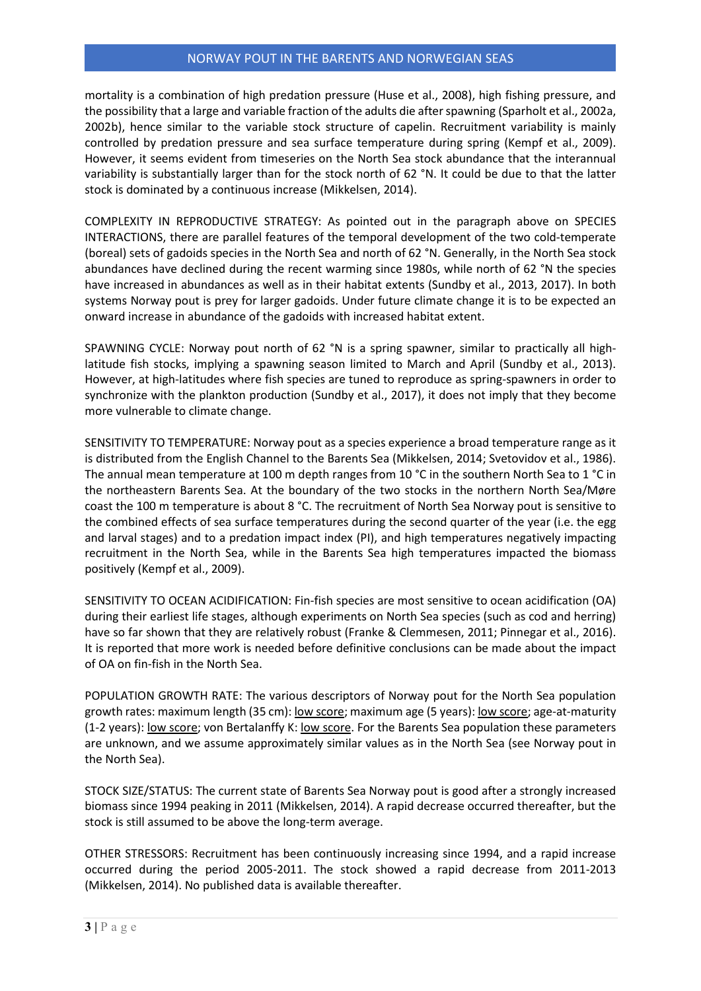## NORWAY POUT IN THE BARENTS AND NORWEGIAN SEAS

mortality is a combination of high predation pressure (Huse et al., 2008), high fishing pressure, and the possibility that a large and variable fraction of the adults die after spawning (Sparholt et al., 2002a, 2002b), hence similar to the variable stock structure of capelin. Recruitment variability is mainly controlled by predation pressure and sea surface temperature during spring (Kempf et al., 2009). However, it seems evident from timeseries on the North Sea stock abundance that the interannual variability is substantially larger than for the stock north of 62 °N. It could be due to that the latter stock is dominated by a continuous increase (Mikkelsen, 2014).

COMPLEXITY IN REPRODUCTIVE STRATEGY: As pointed out in the paragraph above on SPECIES INTERACTIONS, there are parallel features of the temporal development of the two cold-temperate (boreal) sets of gadoids species in the North Sea and north of 62 °N. Generally, in the North Sea stock abundances have declined during the recent warming since 1980s, while north of 62 °N the species have increased in abundances as well as in their habitat extents (Sundby et al., 2013, 2017). In both systems Norway pout is prey for larger gadoids. Under future climate change it is to be expected an onward increase in abundance of the gadoids with increased habitat extent.

SPAWNING CYCLE: Norway pout north of 62 °N is a spring spawner, similar to practically all highlatitude fish stocks, implying a spawning season limited to March and April (Sundby et al., 2013). However, at high-latitudes where fish species are tuned to reproduce as spring-spawners in order to synchronize with the plankton production (Sundby et al., 2017), it does not imply that they become more vulnerable to climate change.

SENSITIVITY TO TEMPERATURE: Norway pout as a species experience a broad temperature range as it is distributed from the English Channel to the Barents Sea (Mikkelsen, 2014; Svetovidov et al., 1986). The annual mean temperature at 100 m depth ranges from 10 °C in the southern North Sea to 1 °C in the northeastern Barents Sea. At the boundary of the two stocks in the northern North Sea/Møre coast the 100 m temperature is about 8 °C. The recruitment of North Sea Norway pout is sensitive to the combined effects of sea surface temperatures during the second quarter of the year (i.e. the egg and larval stages) and to a predation impact index (PI), and high temperatures negatively impacting recruitment in the North Sea, while in the Barents Sea high temperatures impacted the biomass positively (Kempf et al., 2009).

SENSITIVITY TO OCEAN ACIDIFICATION: Fin-fish species are most sensitive to ocean acidification (OA) during their earliest life stages, although experiments on North Sea species (such as cod and herring) have so far shown that they are relatively robust (Franke & Clemmesen, 2011; Pinnegar et al., 2016). It is reported that more work is needed before definitive conclusions can be made about the impact of OA on fin-fish in the North Sea.

POPULATION GROWTH RATE: The various descriptors of Norway pout for the North Sea population growth rates: maximum length (35 cm): low score; maximum age (5 years): low score; age-at-maturity (1-2 years): low score; von Bertalanffy K: low score. For the Barents Sea population these parameters are unknown, and we assume approximately similar values as in the North Sea (see Norway pout in the North Sea).

STOCK SIZE/STATUS: The current state of Barents Sea Norway pout is good after a strongly increased biomass since 1994 peaking in 2011 (Mikkelsen, 2014). A rapid decrease occurred thereafter, but the stock is still assumed to be above the long-term average.

OTHER STRESSORS: Recruitment has been continuously increasing since 1994, and a rapid increase occurred during the period 2005-2011. The stock showed a rapid decrease from 2011-2013 (Mikkelsen, 2014). No published data is available thereafter.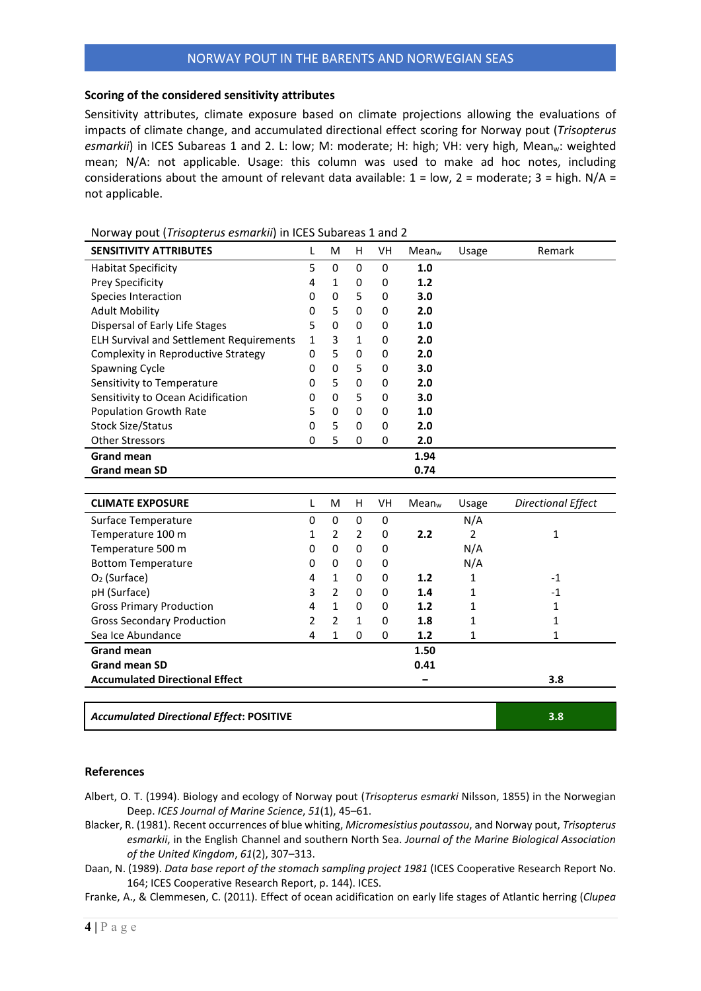#### **Scoring of the considered sensitivity attributes**

Sensitivity attributes, climate exposure based on climate projections allowing the evaluations of impacts of climate change, and accumulated directional effect scoring for Norway pout (*Trisopterus*  esmarkii) in ICES Subareas 1 and 2. L: low; M: moderate; H: high; VH: very high, Mean<sub>w</sub>: weighted mean; N/A: not applicable. Usage: this column was used to make ad hoc notes, including considerations about the amount of relevant data available:  $1 = low$ ,  $2 = moderate$ ;  $3 = high$ .  $N/A =$ not applicable.

| <b>SENSITIVITY ATTRIBUTES</b>                   | L | M              | H            | VH        | Mean <sub>w</sub> | Usage          | Remark                    |
|-------------------------------------------------|---|----------------|--------------|-----------|-------------------|----------------|---------------------------|
| <b>Habitat Specificity</b>                      | 5 | 0              | 0            | $\pmb{0}$ | 1.0               |                |                           |
| Prey Specificity                                | 4 | $\mathbf{1}$   | 0            | 0         | 1.2               |                |                           |
| Species Interaction                             | 0 | 0              | 5            | 0         | 3.0               |                |                           |
| <b>Adult Mobility</b>                           | 0 | 5              | 0            | 0         | 2.0               |                |                           |
| Dispersal of Early Life Stages                  | 5 | 0              | 0            | 0         | 1.0               |                |                           |
| <b>ELH Survival and Settlement Requirements</b> | 1 | 3              | 1            | 0         | 2.0               |                |                           |
| Complexity in Reproductive Strategy             | 0 | 5              | 0            | 0         | 2.0               |                |                           |
| Spawning Cycle                                  | 0 | 0              | 5            | 0         | 3.0               |                |                           |
| Sensitivity to Temperature                      | 0 | 5              | $\pmb{0}$    | 0         | 2.0               |                |                           |
| Sensitivity to Ocean Acidification              | 0 | 0              | 5            | 0         | 3.0               |                |                           |
| <b>Population Growth Rate</b>                   | 5 | 0              | 0            | 0         | 1.0               |                |                           |
| <b>Stock Size/Status</b>                        | 0 | 5              | 0            | 0         | 2.0               |                |                           |
| <b>Other Stressors</b>                          | 0 | 5              | 0            | 0         | 2.0               |                |                           |
| <b>Grand mean</b>                               |   |                |              |           | 1.94              |                |                           |
| <b>Grand mean SD</b>                            |   |                |              |           | 0.74              |                |                           |
|                                                 |   |                |              |           |                   |                |                           |
| <b>CLIMATE EXPOSURE</b>                         | L | M              | H            | VH        | Mean <sub>w</sub> | Usage          | <b>Directional Effect</b> |
| Surface Temperature                             | 0 | 0              | $\mathbf 0$  | 0         |                   | N/A            |                           |
| Temperature 100 m                               | 1 | 2              | 2            | 0         | 2.2               | $\overline{2}$ | 1                         |
| Temperature 500 m                               | 0 | 0              | 0            | 0         |                   | N/A            |                           |
| <b>Bottom Temperature</b>                       | 0 | 0              | 0            | 0         |                   | N/A            |                           |
| O <sub>2</sub> (Surface)                        | 4 | $\mathbf{1}$   | 0            | 0         | 1.2               | 1              | $-1$                      |
| pH (Surface)                                    | 3 | $\overline{2}$ | 0            | 0         | 1.4               | 1              | $-1$                      |
| <b>Gross Primary Production</b>                 | 4 | $\mathbf{1}$   | $\mathbf 0$  | 0         | 1.2               | 1              | 1                         |
| <b>Gross Secondary Production</b>               | 2 | $\overline{2}$ | $\mathbf{1}$ | 0         | 1.8               | 1              | 1                         |
| Sea Ice Abundance                               | 4 | $\mathbf{1}$   | 0            | 0         | 1.2               | 1              | 1                         |
| <b>Grand mean</b>                               |   |                |              |           | 1.50              |                |                           |
| <b>Grand mean SD</b>                            |   |                |              |           | 0.41              |                |                           |
| <b>Accumulated Directional Effect</b>           |   |                |              |           |                   |                | 3.8                       |
|                                                 |   |                |              |           |                   |                |                           |
| <b>Accumulated Directional Effect: POSITIVE</b> |   |                |              |           |                   |                | 3.8                       |

Norway pout (*Trisopterus esmarkii*) in ICES Subareas 1 and 2

### **References**

Albert, O. T. (1994). Biology and ecology of Norway pout (*Trisopterus esmarki* Nilsson, 1855) in the Norwegian Deep. *ICES Journal of Marine Science*, *51*(1), 45–61.

- Blacker, R. (1981). Recent occurrences of blue whiting, *Micromesistius poutassou*, and Norway pout, *Trisopterus esmarkii*, in the English Channel and southern North Sea. *Journal of the Marine Biological Association of the United Kingdom*, *61*(2), 307–313.
- Daan, N. (1989). *Data base report of the stomach sampling project 1981* (ICES Cooperative Research Report No. 164; ICES Cooperative Research Report, p. 144). ICES.

Franke, A., & Clemmesen, C. (2011). Effect of ocean acidification on early life stages of Atlantic herring (*Clupea*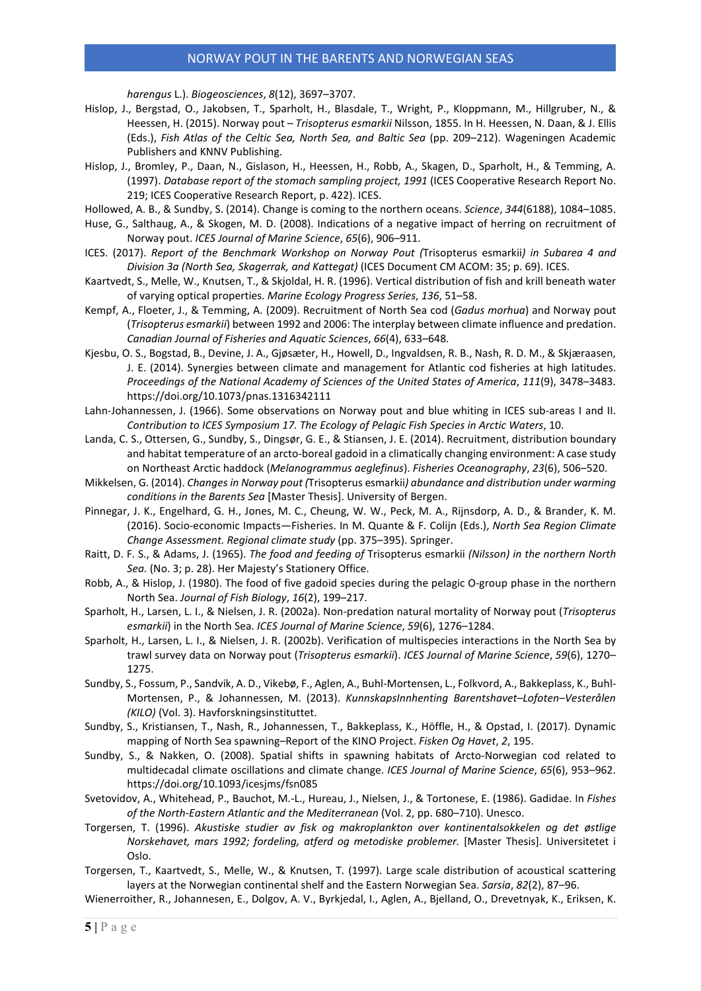#### NORWAY POUT IN THE BARENTS AND NORWEGIAN SEAS

*harengus* L.). *Biogeosciences*, *8*(12), 3697–3707.

- Hislop, J., Bergstad, O., Jakobsen, T., Sparholt, H., Blasdale, T., Wright, P., Kloppmann, M., Hillgruber, N., & Heessen, H. (2015). Norway pout – *Trisopterus esmarkii* Nilsson, 1855. In H. Heessen, N. Daan, & J. Ellis (Eds.), *Fish Atlas of the Celtic Sea, North Sea, and Baltic Sea* (pp. 209–212). Wageningen Academic Publishers and KNNV Publishing.
- Hislop, J., Bromley, P., Daan, N., Gislason, H., Heessen, H., Robb, A., Skagen, D., Sparholt, H., & Temming, A. (1997). *Database report of the stomach sampling project, 1991* (ICES Cooperative Research Report No. 219; ICES Cooperative Research Report, p. 422). ICES.

Hollowed, A. B., & Sundby, S. (2014). Change is coming to the northern oceans. *Science*, *344*(6188), 1084–1085.

- Huse, G., Salthaug, A., & Skogen, M. D. (2008). Indications of a negative impact of herring on recruitment of Norway pout. *ICES Journal of Marine Science*, *65*(6), 906–911.
- ICES. (2017). *Report of the Benchmark Workshop on Norway Pout (*Trisopterus esmarkii*) in Subarea 4 and Division 3a (North Sea, Skagerrak, and Kattegat)* (ICES Document CM ACOM: 35; p. 69). ICES.
- Kaartvedt, S., Melle, W., Knutsen, T., & Skjoldal, H. R. (1996). Vertical distribution of fish and krill beneath water of varying optical properties. *Marine Ecology Progress Series*, *136*, 51–58.
- Kempf, A., Floeter, J., & Temming, A. (2009). Recruitment of North Sea cod (*Gadus morhua*) and Norway pout (*Trisopterus esmarkii*) between 1992 and 2006: The interplay between climate influence and predation. *Canadian Journal of Fisheries and Aquatic Sciences*, *66*(4), 633–648.
- Kjesbu, O. S., Bogstad, B., Devine, J. A., Gjøsæter, H., Howell, D., Ingvaldsen, R. B., Nash, R. D. M., & Skjæraasen, J. E. (2014). Synergies between climate and management for Atlantic cod fisheries at high latitudes. *Proceedings of the National Academy of Sciences of the United States of America*, *111*(9), 3478–3483. https://doi.org/10.1073/pnas.1316342111
- Lahn-Johannessen, J. (1966). Some observations on Norway pout and blue whiting in ICES sub-areas I and II. *Contribution to ICES Symposium 17. The Ecology of Pelagic Fish Species in Arctic Waters*, 10.
- Landa, C. S., Ottersen, G., Sundby, S., Dingsør, G. E., & Stiansen, J. E. (2014). Recruitment, distribution boundary and habitat temperature of an arcto-boreal gadoid in a climatically changing environment: A case study on Northeast Arctic haddock (*Melanogrammus aeglefinus*). *Fisheries Oceanography*, *23*(6), 506–520.
- Mikkelsen, G. (2014). *Changes in Norway pout (*Trisopterus esmarkii*) abundance and distribution under warming conditions in the Barents Sea* [Master Thesis]. University of Bergen.
- Pinnegar, J. K., Engelhard, G. H., Jones, M. C., Cheung, W. W., Peck, M. A., Rijnsdorp, A. D., & Brander, K. M. (2016). Socio-economic Impacts—Fisheries. In M. Quante & F. Colijn (Eds.), *North Sea Region Climate Change Assessment. Regional climate study* (pp. 375–395). Springer.
- Raitt, D. F. S., & Adams, J. (1965). *The food and feeding of* Trisopterus esmarkii *(Nilsson) in the northern North Sea.* (No. 3; p. 28). Her Majesty's Stationery Office.
- Robb, A., & Hislop, J. (1980). The food of five gadoid species during the pelagic O-group phase in the northern North Sea. *Journal of Fish Biology*, *16*(2), 199–217.
- Sparholt, H., Larsen, L. I., & Nielsen, J. R. (2002a). Non-predation natural mortality of Norway pout (*Trisopterus esmarkii*) in the North Sea. *ICES Journal of Marine Science*, *59*(6), 1276–1284.
- Sparholt, H., Larsen, L. I., & Nielsen, J. R. (2002b). Verification of multispecies interactions in the North Sea by trawl survey data on Norway pout (*Trisopterus esmarkii*). *ICES Journal of Marine Science*, *59*(6), 1270– 1275.
- Sundby, S., Fossum, P., Sandvik, A. D., Vikebø, F., Aglen, A., Buhl-Mortensen, L., Folkvord, A., Bakkeplass, K., Buhl-Mortensen, P., & Johannessen, M. (2013). *KunnskapsInnhenting Barentshavet–Lofoten–Vesterålen (KILO)* (Vol. 3). Havforskningsinstituttet.
- Sundby, S., Kristiansen, T., Nash, R., Johannessen, T., Bakkeplass, K., Höffle, H., & Opstad, I. (2017). Dynamic mapping of North Sea spawning–Report of the KINO Project. *Fisken Og Havet*, *2*, 195.
- Sundby, S., & Nakken, O. (2008). Spatial shifts in spawning habitats of Arcto-Norwegian cod related to multidecadal climate oscillations and climate change. *ICES Journal of Marine Science*, *65*(6), 953–962. https://doi.org/10.1093/icesjms/fsn085
- Svetovidov, A., Whitehead, P., Bauchot, M.-L., Hureau, J., Nielsen, J., & Tortonese, E. (1986). Gadidae. In *Fishes of the North-Eastern Atlantic and the Mediterranean* (Vol. 2, pp. 680–710). Unesco.
- Torgersen, T. (1996). *Akustiske studier av fisk og makroplankton over kontinentalsokkelen og det østlige Norskehavet, mars 1992; fordeling, atferd og metodiske problemer.* [Master Thesis]. Universitetet i Oslo.
- Torgersen, T., Kaartvedt, S., Melle, W., & Knutsen, T. (1997). Large scale distribution of acoustical scattering layers at the Norwegian continental shelf and the Eastern Norwegian Sea. *Sarsia*, *82*(2), 87–96.

Wienerroither, R., Johannesen, E., Dolgov, A. V., Byrkjedal, I., Aglen, A., Bjelland, O., Drevetnyak, K., Eriksen, K.